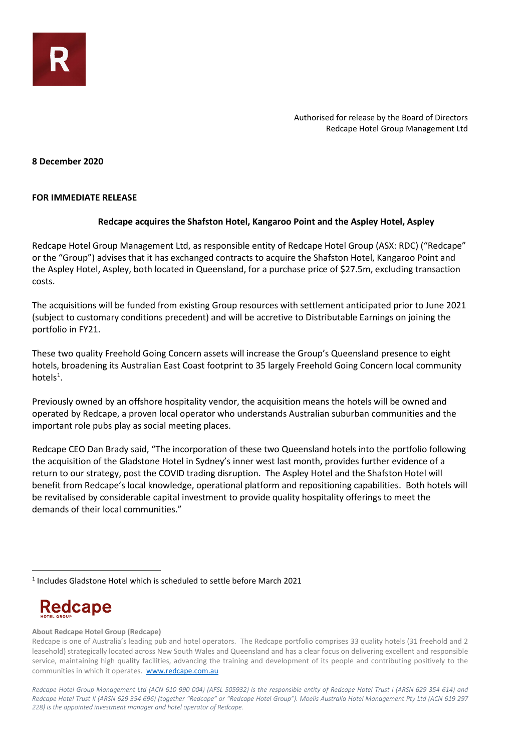**8 December 2020**

### **FOR IMMEDIATE RELEASE**

## **Redcape acquires the Shafston Hotel, Kangaroo Point and the Aspley Hotel, Aspley**

Redcape Hotel Group Management Ltd, as responsible entity of Redcape Hotel Group (ASX: RDC) ("Redcape" or the "Group") advises that it has exchanged contracts to acquire the Shafston Hotel, Kangaroo Point and the Aspley Hotel, Aspley, both located in Queensland, for a purchase price of \$27.5m, excluding transaction costs.

The acquisitions will be funded from existing Group resources with settlement anticipated prior to June 2021 (subject to customary conditions precedent) and will be accretive to Distributable Earnings on joining the portfolio in FY21.

These two quality Freehold Going Concern assets will increase the Group's Queensland presence to eight hotels, broadening its Australian East Coast footprint to 35 largely Freehold Going Concern local community hotels<sup>[1](#page-0-0)</sup>.

Previously owned by an offshore hospitality vendor, the acquisition means the hotels will be owned and operated by Redcape, a proven local operator who understands Australian suburban communities and the important role pubs play as social meeting places.

Redcape CEO Dan Brady said, "The incorporation of these two Queensland hotels into the portfolio following the acquisition of the Gladstone Hotel in Sydney's inner west last month, provides further evidence of a return to our strategy, post the COVID trading disruption. The Aspley Hotel and the Shafston Hotel will benefit from Redcape's local knowledge, operational platform and repositioning capabilities. Both hotels will be revitalised by considerable capital investment to provide quality hospitality offerings to meet the demands of their local communities."

# **Redcape**

### **About Redcape Hotel Group (Redcape)**

<span id="page-0-0"></span><sup>1</sup> Includes Gladstone Hotel which is scheduled to settle before March 2021

Redcape is one of Australia's leading pub and hotel operators. The Redcape portfolio comprises 33 quality hotels (31 freehold and 2 leasehold) strategically located across New South Wales and Queensland and has a clear focus on delivering excellent and responsible service, maintaining high quality facilities, advancing the training and development of its people and contributing positively to the communities in which it operates. [www.redcape.com.au](http://www.redcape.com.au/)